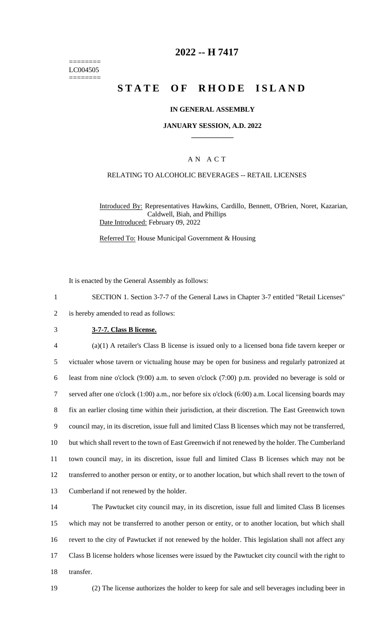======== LC004505 ========

# **2022 -- H 7417**

# **STATE OF RHODE ISLAND**

#### **IN GENERAL ASSEMBLY**

#### **JANUARY SESSION, A.D. 2022 \_\_\_\_\_\_\_\_\_\_\_\_**

#### A N A C T

#### RELATING TO ALCOHOLIC BEVERAGES -- RETAIL LICENSES

Introduced By: Representatives Hawkins, Cardillo, Bennett, O'Brien, Noret, Kazarian, Caldwell, Biah, and Phillips Date Introduced: February 09, 2022

Referred To: House Municipal Government & Housing

It is enacted by the General Assembly as follows:

1 SECTION 1. Section 3-7-7 of the General Laws in Chapter 3-7 entitled "Retail Licenses"

2 is hereby amended to read as follows:

#### 3 **3-7-7. Class B license.**

 (a)(1) A retailer's Class B license is issued only to a licensed bona fide tavern keeper or victualer whose tavern or victualing house may be open for business and regularly patronized at least from nine o'clock (9:00) a.m. to seven o'clock (7:00) p.m. provided no beverage is sold or served after one o'clock (1:00) a.m., nor before six o'clock (6:00) a.m. Local licensing boards may fix an earlier closing time within their jurisdiction, at their discretion. The East Greenwich town council may, in its discretion, issue full and limited Class B licenses which may not be transferred, but which shall revert to the town of East Greenwich if not renewed by the holder. The Cumberland town council may, in its discretion, issue full and limited Class B licenses which may not be transferred to another person or entity, or to another location, but which shall revert to the town of Cumberland if not renewed by the holder.

 The Pawtucket city council may, in its discretion, issue full and limited Class B licenses which may not be transferred to another person or entity, or to another location, but which shall revert to the city of Pawtucket if not renewed by the holder. This legislation shall not affect any Class B license holders whose licenses were issued by the Pawtucket city council with the right to transfer.

19 (2) The license authorizes the holder to keep for sale and sell beverages including beer in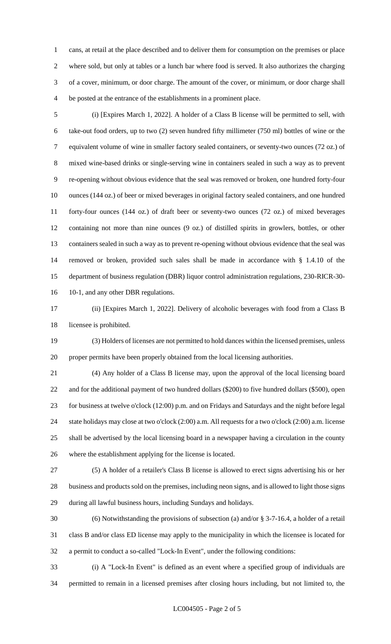cans, at retail at the place described and to deliver them for consumption on the premises or place where sold, but only at tables or a lunch bar where food is served. It also authorizes the charging of a cover, minimum, or door charge. The amount of the cover, or minimum, or door charge shall be posted at the entrance of the establishments in a prominent place.

 (i) [Expires March 1, 2022]. A holder of a Class B license will be permitted to sell, with take-out food orders, up to two (2) seven hundred fifty millimeter (750 ml) bottles of wine or the equivalent volume of wine in smaller factory sealed containers, or seventy-two ounces (72 oz.) of mixed wine-based drinks or single-serving wine in containers sealed in such a way as to prevent re-opening without obvious evidence that the seal was removed or broken, one hundred forty-four ounces (144 oz.) of beer or mixed beverages in original factory sealed containers, and one hundred forty-four ounces (144 oz.) of draft beer or seventy-two ounces (72 oz.) of mixed beverages containing not more than nine ounces (9 oz.) of distilled spirits in growlers, bottles, or other containers sealed in such a way as to prevent re-opening without obvious evidence that the seal was removed or broken, provided such sales shall be made in accordance with § 1.4.10 of the department of business regulation (DBR) liquor control administration regulations, 230-RICR-30- 10-1, and any other DBR regulations.

 (ii) [Expires March 1, 2022]. Delivery of alcoholic beverages with food from a Class B licensee is prohibited.

 (3) Holders of licenses are not permitted to hold dances within the licensed premises, unless proper permits have been properly obtained from the local licensing authorities.

 (4) Any holder of a Class B license may, upon the approval of the local licensing board and for the additional payment of two hundred dollars (\$200) to five hundred dollars (\$500), open for business at twelve o'clock (12:00) p.m. and on Fridays and Saturdays and the night before legal state holidays may close at two o'clock (2:00) a.m. All requests for a two o'clock (2:00) a.m. license shall be advertised by the local licensing board in a newspaper having a circulation in the county where the establishment applying for the license is located.

 (5) A holder of a retailer's Class B license is allowed to erect signs advertising his or her business and products sold on the premises, including neon signs, and is allowed to light those signs during all lawful business hours, including Sundays and holidays.

 (6) Notwithstanding the provisions of subsection (a) and/or § 3-7-16.4, a holder of a retail class B and/or class ED license may apply to the municipality in which the licensee is located for a permit to conduct a so-called "Lock-In Event", under the following conditions:

 (i) A "Lock-In Event" is defined as an event where a specified group of individuals are permitted to remain in a licensed premises after closing hours including, but not limited to, the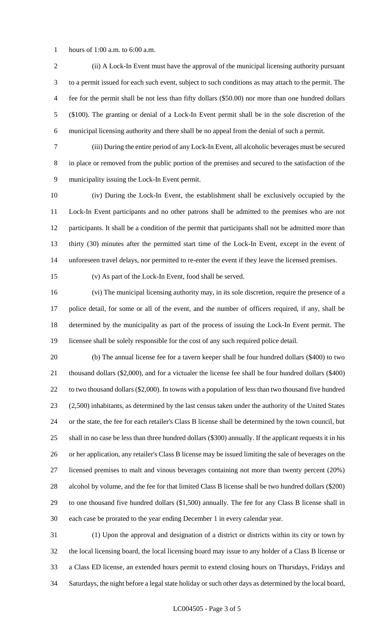hours of 1:00 a.m. to 6:00 a.m.

 (ii) A Lock-In Event must have the approval of the municipal licensing authority pursuant to a permit issued for each such event, subject to such conditions as may attach to the permit. The fee for the permit shall be not less than fifty dollars (\$50.00) nor more than one hundred dollars (\$100). The granting or denial of a Lock-In Event permit shall be in the sole discretion of the municipal licensing authority and there shall be no appeal from the denial of such a permit.

 (iii) During the entire period of any Lock-In Event, all alcoholic beverages must be secured in place or removed from the public portion of the premises and secured to the satisfaction of the municipality issuing the Lock-In Event permit.

 (iv) During the Lock-In Event, the establishment shall be exclusively occupied by the Lock-In Event participants and no other patrons shall be admitted to the premises who are not participants. It shall be a condition of the permit that participants shall not be admitted more than thirty (30) minutes after the permitted start time of the Lock-In Event, except in the event of unforeseen travel delays, nor permitted to re-enter the event if they leave the licensed premises.

(v) As part of the Lock-In Event, food shall be served.

 (vi) The municipal licensing authority may, in its sole discretion, require the presence of a police detail, for some or all of the event, and the number of officers required, if any, shall be determined by the municipality as part of the process of issuing the Lock-In Event permit. The licensee shall be solely responsible for the cost of any such required police detail.

 (b) The annual license fee for a tavern keeper shall be four hundred dollars (\$400) to two thousand dollars (\$2,000), and for a victualer the license fee shall be four hundred dollars (\$400) 22 to two thousand dollars (\$2,000). In towns with a population of less than two thousand five hundred (2,500) inhabitants, as determined by the last census taken under the authority of the United States or the state, the fee for each retailer's Class B license shall be determined by the town council, but shall in no case be less than three hundred dollars (\$300) annually. If the applicant requests it in his or her application, any retailer's Class B license may be issued limiting the sale of beverages on the licensed premises to malt and vinous beverages containing not more than twenty percent (20%) alcohol by volume, and the fee for that limited Class B license shall be two hundred dollars (\$200) to one thousand five hundred dollars (\$1,500) annually. The fee for any Class B license shall in each case be prorated to the year ending December 1 in every calendar year.

 (1) Upon the approval and designation of a district or districts within its city or town by the local licensing board, the local licensing board may issue to any holder of a Class B license or a Class ED license, an extended hours permit to extend closing hours on Thursdays, Fridays and Saturdays, the night before a legal state holiday or such other days as determined by the local board,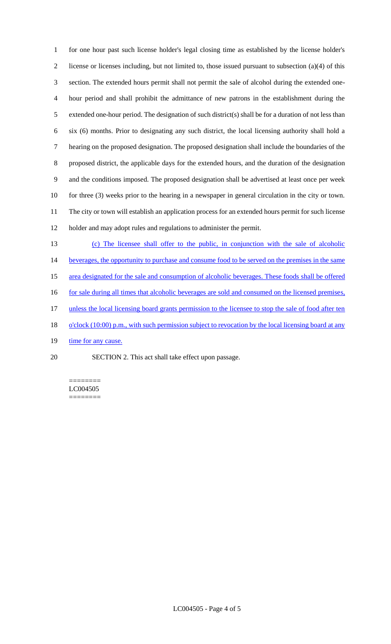for one hour past such license holder's legal closing time as established by the license holder's license or licenses including, but not limited to, those issued pursuant to subsection (a)(4) of this section. The extended hours permit shall not permit the sale of alcohol during the extended one- hour period and shall prohibit the admittance of new patrons in the establishment during the extended one-hour period. The designation of such district(s) shall be for a duration of not less than six (6) months. Prior to designating any such district, the local licensing authority shall hold a hearing on the proposed designation. The proposed designation shall include the boundaries of the proposed district, the applicable days for the extended hours, and the duration of the designation and the conditions imposed. The proposed designation shall be advertised at least once per week for three (3) weeks prior to the hearing in a newspaper in general circulation in the city or town. The city or town will establish an application process for an extended hours permit for such license holder and may adopt rules and regulations to administer the permit.

 (c) The licensee shall offer to the public, in conjunction with the sale of alcoholic 14 beverages, the opportunity to purchase and consume food to be served on the premises in the same area designated for the sale and consumption of alcoholic beverages. These foods shall be offered 16 for sale during all times that alcoholic beverages are sold and consumed on the licensed premises, 17 unless the local licensing board grants permission to the licensee to stop the sale of food after ten 18 o'clock (10:00) p.m., with such permission subject to revocation by the local licensing board at any 19 time for any cause. SECTION 2. This act shall take effect upon passage.

======== LC004505 ========